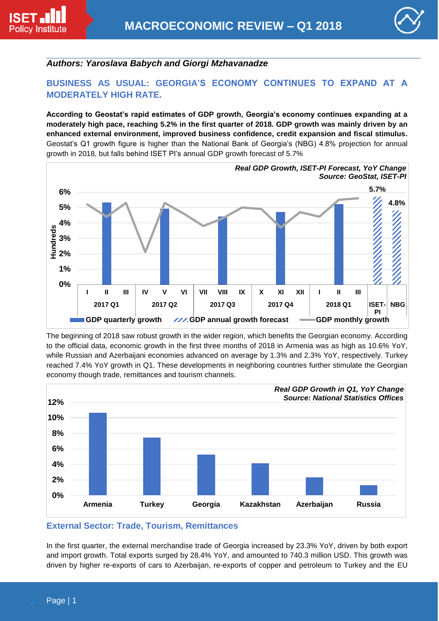



# *Authors: Yaroslava Babych and Giorgi Mzhavanadze*

# **BUSINESS AS USUAL: GEORGIA'S ECONOMY CONTINUES TO EXPAND AT A MODERATELY HIGH RATE.**

**According to Geostat's rapid estimates of GDP growth, Georgia's economy continues expanding at a moderately high pace, reaching 5.2% in the first quarter of 2018. GDP growth was mainly driven by an enhanced external environment, improved business confidence, credit expansion and fiscal stimulus.**  Geostat's Q1 growth figure is higher than the National Bank of Georgia's (NBG) 4.8% projection for annual growth in 2018, but falls behind ISET PI's annual GDP growth forecast of 5.7%



The beginning of 2018 saw robust growth in the wider region, which benefits the Georgian economy. According to the official data, economic growth in the first three months of 2018 in Armenia was as high as 10.6% YoY, while Russian and Azerbaijani economies advanced on average by 1.3% and 2.3% YoY, respectively. Turkey reached 7.4% YoY growth in Q1. These developments in neighboring countries further stimulate the Georgian economy though trade, remittances and tourism channels.



### **External Sector: Trade, Tourism, Remittances**

In the first quarter, the external merchandise trade of Georgia increased by 23.3% YoY, driven by both export and import growth. Total exports surged by 28.4% YoY, and amounted to 740.3 million USD. This growth was driven by higher re-exports of cars to Azerbaijan, re-exports of copper and petroleum to Turkey and the EU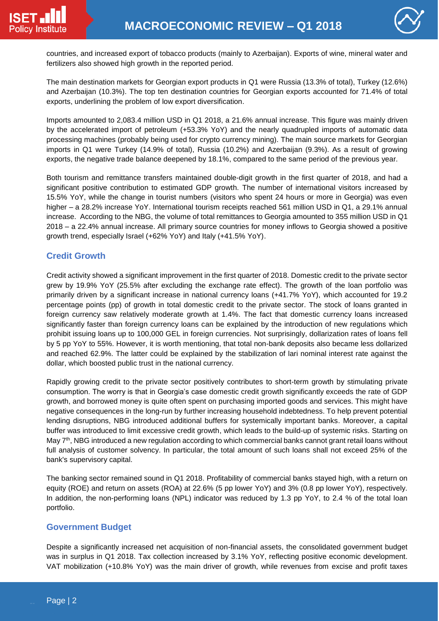

countries, and increased export of tobacco products (mainly to Azerbaijan). Exports of wine, mineral water and fertilizers also showed high growth in the reported period.

The main destination markets for Georgian export products in Q1 were Russia (13.3% of total), Turkey (12.6%) and Azerbaijan (10.3%). The top ten destination countries for Georgian exports accounted for 71.4% of total exports, underlining the problem of low export diversification.

Imports amounted to 2,083.4 million USD in Q1 2018, a 21.6% annual increase. This figure was mainly driven by the accelerated import of petroleum (+53.3% YoY) and the nearly quadrupled imports of automatic data processing machines (probably being used for crypto currency mining). The main source markets for Georgian imports in Q1 were Turkey (14.9% of total), Russia (10.2%) and Azerbaijan (9.3%). As a result of growing exports, the negative trade balance deepened by 18.1%, compared to the same period of the previous year.

Both tourism and remittance transfers maintained double-digit growth in the first quarter of 2018, and had a significant positive contribution to estimated GDP growth. The number of international visitors increased by 15.5% YoY, while the change in tourist numbers (visitors who spent 24 hours or more in Georgia) was even higher – a 28.2% increase YoY. International tourism receipts reached 561 million USD in Q1, a 29.1% annual increase. According to the NBG, the volume of total remittances to Georgia amounted to 355 million USD in Q1 2018 – a 22.4% annual increase. All primary source countries for money inflows to Georgia showed a positive growth trend, especially Israel (+62% YoY) and Italy (+41.5% YoY).

### **Credit Growth**

Credit activity showed a significant improvement in the first quarter of 2018. Domestic credit to the private sector grew by 19.9% YoY (25.5% after excluding the exchange rate effect). The growth of the loan portfolio was primarily driven by a significant increase in national currency loans (+41.7% YoY), which accounted for 19.2 percentage points (pp) of growth in total domestic credit to the private sector. The stock of loans granted in foreign currency saw relatively moderate growth at 1.4%. The fact that domestic currency loans increased significantly faster than foreign currency loans can be explained by the introduction of new regulations which prohibit issuing loans up to 100,000 GEL in foreign currencies. Not surprisingly, dollarization rates of loans fell by 5 pp YoY to 55%. However, it is worth mentioning, that total non-bank deposits also became less dollarized and reached 62.9%. The latter could be explained by the stabilization of lari nominal interest rate against the dollar, which boosted public trust in the national currency.

Rapidly growing credit to the private sector positively contributes to short-term growth by stimulating private consumption. The worry is that in Georgia's case domestic credit growth significantly exceeds the rate of GDP growth, and borrowed money is quite often spent on purchasing imported goods and services. This might have negative consequences in the long-run by further increasing household indebtedness. To help prevent potential lending disruptions, NBG introduced additional buffers for systemically important banks. Moreover, a capital buffer was introduced to limit excessive credit growth, which leads to the build-up of systemic risks. Starting on May 7<sup>th</sup>, NBG introduced a new regulation according to which commercial banks cannot grant retail loans without full analysis of customer solvency. In particular, the total amount of such loans shall not exceed 25% of the bank's supervisory capital.

The banking sector remained sound in Q1 2018. Profitability of commercial banks stayed high, with a return on equity (ROE) and return on assets (ROA) at 22.6% (5 pp lower YoY) and 3% (0.8 pp lower YoY), respectively. In addition, the non-performing loans (NPL) indicator was reduced by 1.3 pp YoY, to 2.4 % of the total loan portfolio.

### **Government Budget**

Despite a significantly increased net acquisition of non-financial assets, the consolidated government budget was in surplus in Q1 2018. Tax collection increased by 3.1% YoY, reflecting positive economic development. VAT mobilization (+10.8% YoY) was the main driver of growth, while revenues from excise and profit taxes